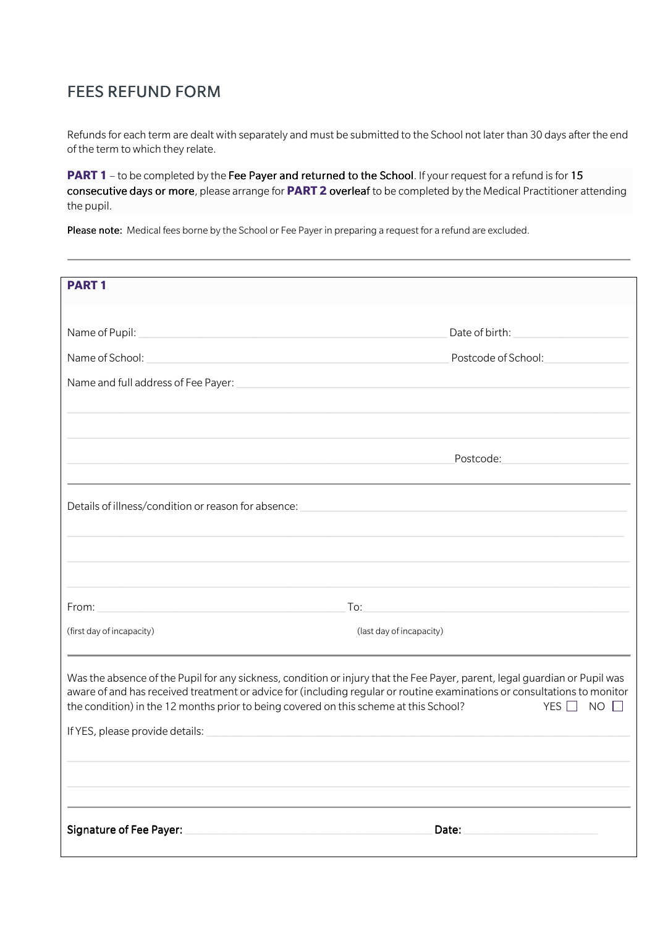## FEES REFUND FORM

Refunds for each term are dealt with separately and must be submitted to the School not later than 30 days after the end of the term to which they relate.

**PART 1** – to be completed by the Fee Payer and returned to the School. If your request for a refund is for 15 consecutive days or more, please arrange for **PART 2** overleaf to be completed by the Medical Practitioner attending the pupil.

Please note: Medical fees borne by the School or Fee Payer in preparing a request for a refund are excluded.

| <b>PART1</b>                                                                                                                                                                                                                                                                                                                                                                                               |                                                                                                                                                                                                                                                                                                                                                                                                                                          |  |
|------------------------------------------------------------------------------------------------------------------------------------------------------------------------------------------------------------------------------------------------------------------------------------------------------------------------------------------------------------------------------------------------------------|------------------------------------------------------------------------------------------------------------------------------------------------------------------------------------------------------------------------------------------------------------------------------------------------------------------------------------------------------------------------------------------------------------------------------------------|--|
|                                                                                                                                                                                                                                                                                                                                                                                                            |                                                                                                                                                                                                                                                                                                                                                                                                                                          |  |
|                                                                                                                                                                                                                                                                                                                                                                                                            |                                                                                                                                                                                                                                                                                                                                                                                                                                          |  |
|                                                                                                                                                                                                                                                                                                                                                                                                            | Postcode of School: National Postcode of School:                                                                                                                                                                                                                                                                                                                                                                                         |  |
|                                                                                                                                                                                                                                                                                                                                                                                                            |                                                                                                                                                                                                                                                                                                                                                                                                                                          |  |
|                                                                                                                                                                                                                                                                                                                                                                                                            |                                                                                                                                                                                                                                                                                                                                                                                                                                          |  |
|                                                                                                                                                                                                                                                                                                                                                                                                            |                                                                                                                                                                                                                                                                                                                                                                                                                                          |  |
|                                                                                                                                                                                                                                                                                                                                                                                                            | <u> 1989 - Johann Barbara, martin amerikan basal dan berasal dan berasal dalam basal dalam basal dan berasal dan</u>                                                                                                                                                                                                                                                                                                                     |  |
|                                                                                                                                                                                                                                                                                                                                                                                                            |                                                                                                                                                                                                                                                                                                                                                                                                                                          |  |
|                                                                                                                                                                                                                                                                                                                                                                                                            | $\begin{minipage}[c]{0.9\linewidth} \hline \text{To:} \quad \hspace{0.5cm} \text{To:} \quad \hspace{0.5cm} \text{To:} \quad \hspace{0.5cm} \text{To:} \quad \hspace{0.5cm} \text{To:} \quad \hspace{0.5cm} \text{To:} \quad \hspace{0.5cm} \text{To:} \quad \hspace{0.5cm} \text{To:} \quad \hspace{0.5cm} \text{To:} \quad \hspace{0.5cm} \text{To:} \quad \hspace{0.5cm} \text{To:} \quad \hspace{0.5cm} \text{To:} \quad \hspace{0.5$ |  |
| (first day of incapacity)                                                                                                                                                                                                                                                                                                                                                                                  | (last day of incapacity)                                                                                                                                                                                                                                                                                                                                                                                                                 |  |
| Was the absence of the Pupil for any sickness, condition or injury that the Fee Payer, parent, legal guardian or Pupil was<br>aware of and has received treatment or advice for (including regular or routine examinations or consultations to monitor<br>the condition) in the 12 months prior to being covered on this scheme at this School?<br>YES $\Box$ NO $\Box$<br>If YES, please provide details: |                                                                                                                                                                                                                                                                                                                                                                                                                                          |  |
|                                                                                                                                                                                                                                                                                                                                                                                                            |                                                                                                                                                                                                                                                                                                                                                                                                                                          |  |
| <b>Signature of Fee Payer:</b>                                                                                                                                                                                                                                                                                                                                                                             | Date:                                                                                                                                                                                                                                                                                                                                                                                                                                    |  |